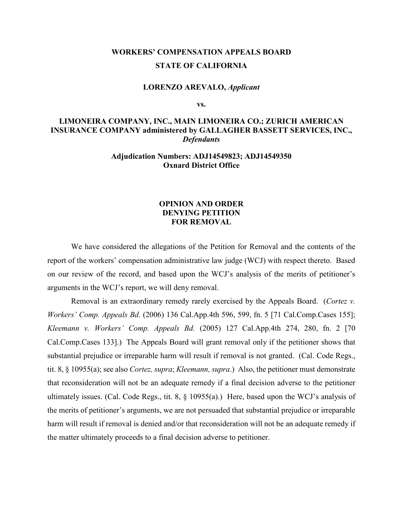## **WORKERS' COMPENSATION APPEALS BOARD STATE OF CALIFORNIA**

#### **LORENZO AREVALO,** *Applicant*

**vs.**

### **LIMONEIRA COMPANY, INC., MAIN LIMONEIRA CO.; ZURICH AMERICAN INSURANCE COMPANY administered by GALLAGHER BASSETT SERVICES, INC.,**  *Defendants*

#### **Adjudication Numbers: ADJ14549823; ADJ14549350 Oxnard District Office**

#### **OPINION AND ORDER DENYING PETITION FOR REMOVAL**

We have considered the allegations of the Petition for Removal and the contents of the report of the workers' compensation administrative law judge (WCJ) with respect thereto. Based on our review of the record, and based upon the WCJ's analysis of the merits of petitioner's arguments in the WCJ's report, we will deny removal.

Removal is an extraordinary remedy rarely exercised by the Appeals Board. (*Cortez v. Workers' Comp. Appeals Bd.* (2006) 136 Cal.App.4th 596, 599, fn. 5 [71 Cal.Comp.Cases 155]; *Kleemann v. Workers' Comp. Appeals Bd.* (2005) 127 Cal.App.4th 274, 280, fn. 2 [70 Cal.Comp.Cases 133].) The Appeals Board will grant removal only if the petitioner shows that substantial prejudice or irreparable harm will result if removal is not granted. (Cal. Code Regs., tit. 8, § 10955(a); see also *Cortez, supra*; *Kleemann, supra*.) Also, the petitioner must demonstrate that reconsideration will not be an adequate remedy if a final decision adverse to the petitioner ultimately issues. (Cal. Code Regs., tit. 8, § 10955(a).) Here, based upon the WCJ's analysis of the merits of petitioner's arguments, we are not persuaded that substantial prejudice or irreparable harm will result if removal is denied and/or that reconsideration will not be an adequate remedy if the matter ultimately proceeds to a final decision adverse to petitioner.